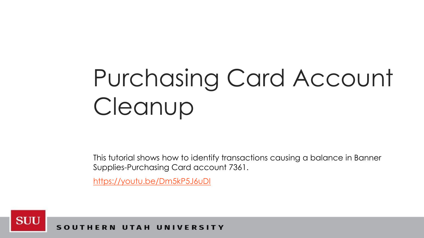## Purchasing Card Account Cleanup

This tutorial shows how to identify transactions causing a balance in Banner Supplies-Purchasing Card account 7361.

<https://youtu.be/Dm5kP5J6uDI>



ERN UTAH UNIVERSITY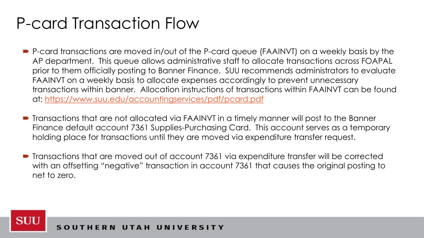## P-card Transaction Flow

- P-card transactions are moved in/out of the P-card queue (FAAINVT) on a weekly basis by the AP department. This queue allows administrative staff to allocate transactions across FOAPAL prior to them officially posting to Banner Finance. SUU recommends administrators to evaluate FAAINVT on a weekly basis to allocate expenses accordingly to prevent unnecessary transactions within banner. Allocation instructions of transactions within FAAINVT can be found at: <https://www.suu.edu/accountingservices/pdf/pcard.pdf>
- Transactions that are not allocated via FAAINVT in a timely manner will post to the Banner Finance default account 7361 Supplies-Purchasing Card. This account serves as a temporary holding place for transactions until they are moved via expenditure transfer request.
- Transactions that are moved out of account 7361 via expenditure transfer will be corrected with an offsetting "negative" transaction in account 7361 that causes the original posting to net to zero.

**SUU**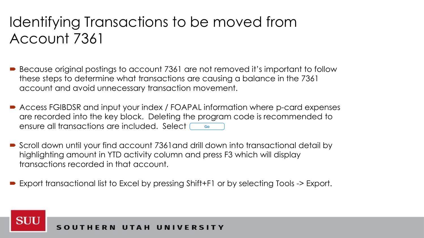## Identifying Transactions to be moved from Account 7361

- Because original postings to account 7361 are not removed it's important to follow these steps to determine what transactions are causing a balance in the 7361 account and avoid unnecessary transaction movement.
- Access FGIBDSR and input your index / FOAPAL information where p-card expenses are recorded into the key block. Deleting the program code is recommended to ensure all transactions are included. Select  $\begin{array}{|c|c|c|}\n\hline\n\end{array}$
- Scroll down until your find account 7361and drill down into transactional detail by highlighting amount in YTD activity column and press F3 which will display transactions recorded in that account.
- Export transactional list to Excel by pressing Shift+F1 or by selecting Tools -> Export.

**SUU**